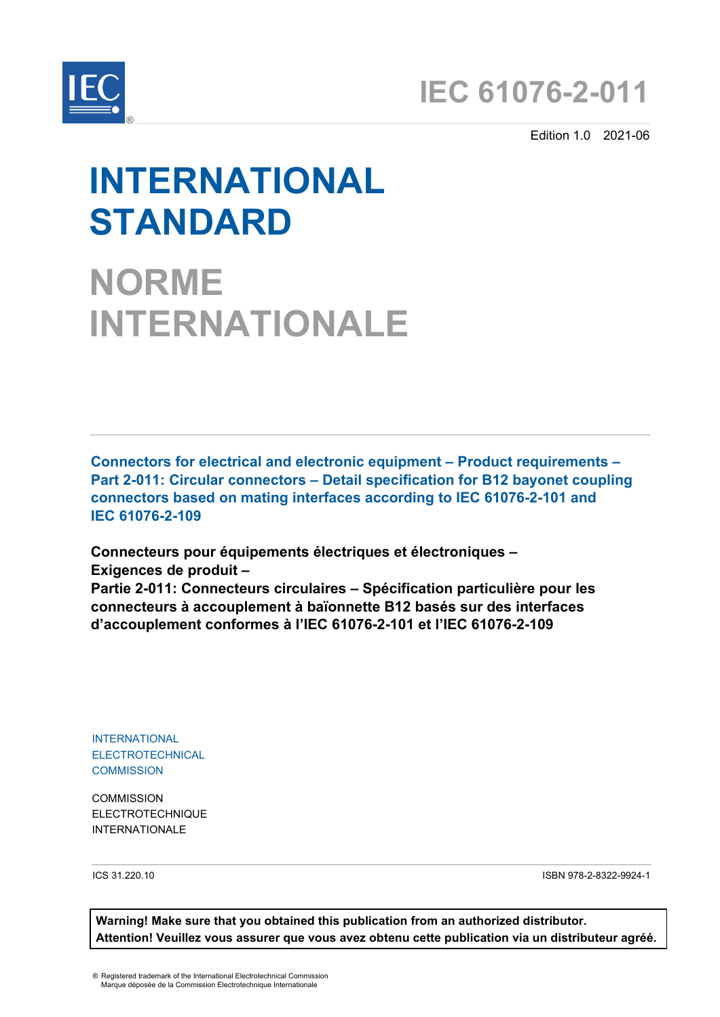

Edition 1.0 2021-06

# **INTERNATIONAL STANDARD**

# **NORME INTERNATIONALE**

**Connectors for electrical and electronic equipment – Product requirements – Part 2-011: Circular connectors – Detail specification for B12 bayonet coupling connectors based on mating interfaces according to IEC 61076-2-101 and IEC 61076-2-109** 

**Connecteurs pour équipements électriques et électroniques – Exigences de produit –** 

**Partie 2-011: Connecteurs circulaires – Spécification particulière pour les connecteurs à accouplement à baïonnette B12 basés sur des interfaces d'accouplement conformes à l'IEC 61076-2-101 et l'IEC 61076-2-109** 

INTERNATIONAL ELECTROTECHNICAL **COMMISSION** 

**COMMISSION** ELECTROTECHNIQUE INTERNATIONALE

ICS 31.220.10 ISBN 978-2-8322-9924-1

**Warning! Make sure that you obtained this publication from an authorized distributor. Attention! Veuillez vous assurer que vous avez obtenu cette publication via un distributeur agréé.**

® Registered trademark of the International Electrotechnical Commission Marque déposée de la Commission Electrotechnique Internationale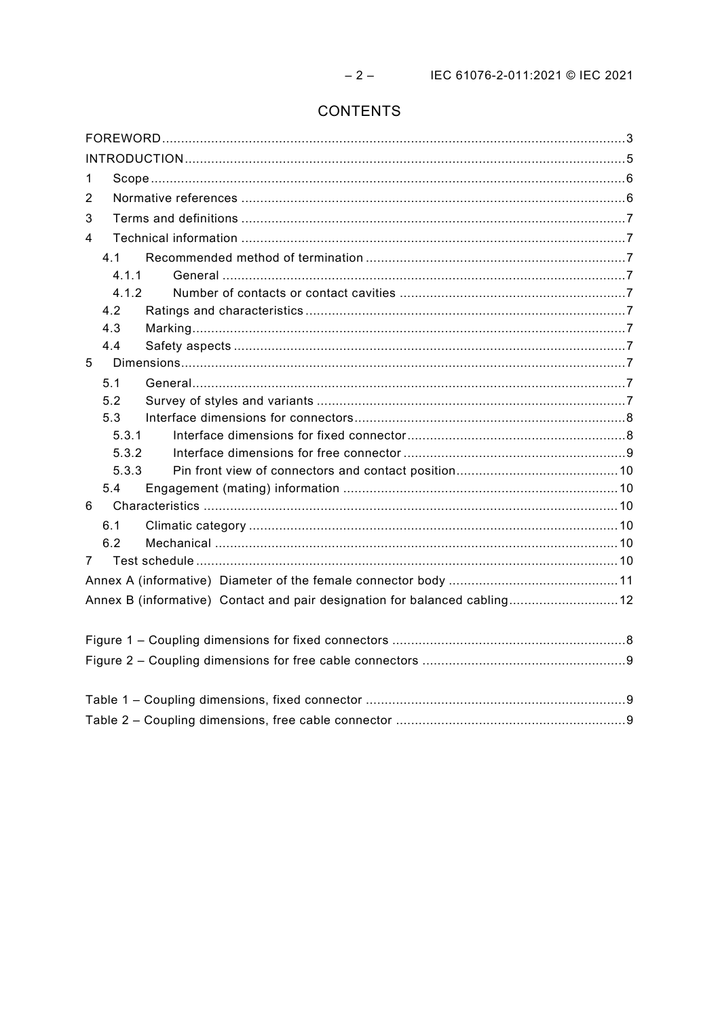# **CONTENTS**

| 1                                                                         |  |  |  |  |
|---------------------------------------------------------------------------|--|--|--|--|
| 2                                                                         |  |  |  |  |
| 3                                                                         |  |  |  |  |
| 4                                                                         |  |  |  |  |
| 4.1                                                                       |  |  |  |  |
| 4.1.1                                                                     |  |  |  |  |
| 4.1.2                                                                     |  |  |  |  |
| 4.2                                                                       |  |  |  |  |
| 4.3                                                                       |  |  |  |  |
| 4.4                                                                       |  |  |  |  |
| 5                                                                         |  |  |  |  |
| 5.1                                                                       |  |  |  |  |
| 5.2                                                                       |  |  |  |  |
| 5.3                                                                       |  |  |  |  |
| 5.3.1                                                                     |  |  |  |  |
| 5.3.2                                                                     |  |  |  |  |
| 5.3.3                                                                     |  |  |  |  |
| 5.4                                                                       |  |  |  |  |
| 6                                                                         |  |  |  |  |
| 6.1                                                                       |  |  |  |  |
| 6.2                                                                       |  |  |  |  |
| $\overline{7}$                                                            |  |  |  |  |
|                                                                           |  |  |  |  |
| Annex B (informative) Contact and pair designation for balanced cabling12 |  |  |  |  |
|                                                                           |  |  |  |  |
|                                                                           |  |  |  |  |
|                                                                           |  |  |  |  |
|                                                                           |  |  |  |  |
|                                                                           |  |  |  |  |
|                                                                           |  |  |  |  |
|                                                                           |  |  |  |  |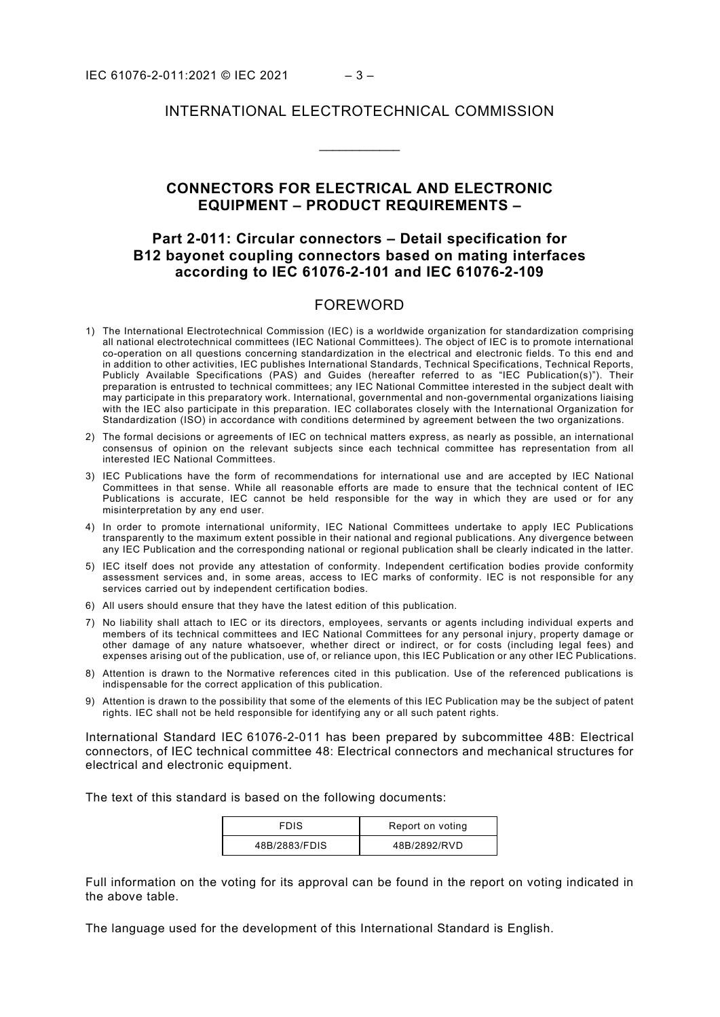#### INTERNATIONAL ELECTROTECHNICAL COMMISSION

\_\_\_\_\_\_\_\_\_\_\_\_

## **CONNECTORS FOR ELECTRICAL AND ELECTRONIC EQUIPMENT – PRODUCT REQUIREMENTS –**

## **Part 2-011: Circular connectors – Detail specification for B12 bayonet coupling connectors based on mating interfaces according to IEC 61076-2-101 and IEC 61076-2-109**

#### FOREWORD

- <span id="page-2-0"></span>1) The International Electrotechnical Commission (IEC) is a worldwide organization for standardization comprising all national electrotechnical committees (IEC National Committees). The object of IEC is to promote international co-operation on all questions concerning standardization in the electrical and electronic fields. To this end and in addition to other activities, IEC publishes International Standards, Technical Specifications, Technical Reports, Publicly Available Specifications (PAS) and Guides (hereafter referred to as "IEC Publication(s)"). Their preparation is entrusted to technical committees; any IEC National Committee interested in the subject dealt with may participate in this preparatory work. International, governmental and non-governmental organizations liaising with the IEC also participate in this preparation. IEC collaborates closely with the International Organization for Standardization (ISO) in accordance with conditions determined by agreement between the two organizations.
- 2) The formal decisions or agreements of IEC on technical matters express, as nearly as possible, an international consensus of opinion on the relevant subjects since each technical committee has representation from all interested IEC National Committees.
- 3) IEC Publications have the form of recommendations for international use and are accepted by IEC National Committees in that sense. While all reasonable efforts are made to ensure that the technical content of IEC Publications is accurate, IEC cannot be held responsible for the way in which they are used or for any misinterpretation by any end user.
- 4) In order to promote international uniformity, IEC National Committees undertake to apply IEC Publications transparently to the maximum extent possible in their national and regional publications. Any divergence between any IEC Publication and the corresponding national or regional publication shall be clearly indicated in the latter.
- 5) IEC itself does not provide any attestation of conformity. Independent certification bodies provide conformity assessment services and, in some areas, access to IEC marks of conformity. IEC is not responsible for any services carried out by independent certification bodies.
- 6) All users should ensure that they have the latest edition of this publication.
- 7) No liability shall attach to IEC or its directors, employees, servants or agents including individual experts and members of its technical committees and IEC National Committees for any personal injury, property damage or other damage of any nature whatsoever, whether direct or indirect, or for costs (including legal fees) and expenses arising out of the publication, use of, or reliance upon, this IEC Publication or any other IEC Publications.
- 8) Attention is drawn to the Normative references cited in this publication. Use of the referenced publications is indispensable for the correct application of this publication.
- 9) Attention is drawn to the possibility that some of the elements of this IEC Publication may be the subject of patent rights. IEC shall not be held responsible for identifying any or all such patent rights.

International Standard IEC 61076-2-011 has been prepared by subcommittee 48B: Electrical connectors, of IEC technical committee 48: Electrical connectors and mechanical structures for electrical and electronic equipment.

The text of this standard is based on the following documents:

| <b>FDIS</b>   | Report on voting |
|---------------|------------------|
| 48B/2883/FDIS | 48B/2892/RVD     |

Full information on the voting for its approval can be found in the report on voting indicated in the above table.

The language used for the development of this International Standard is English.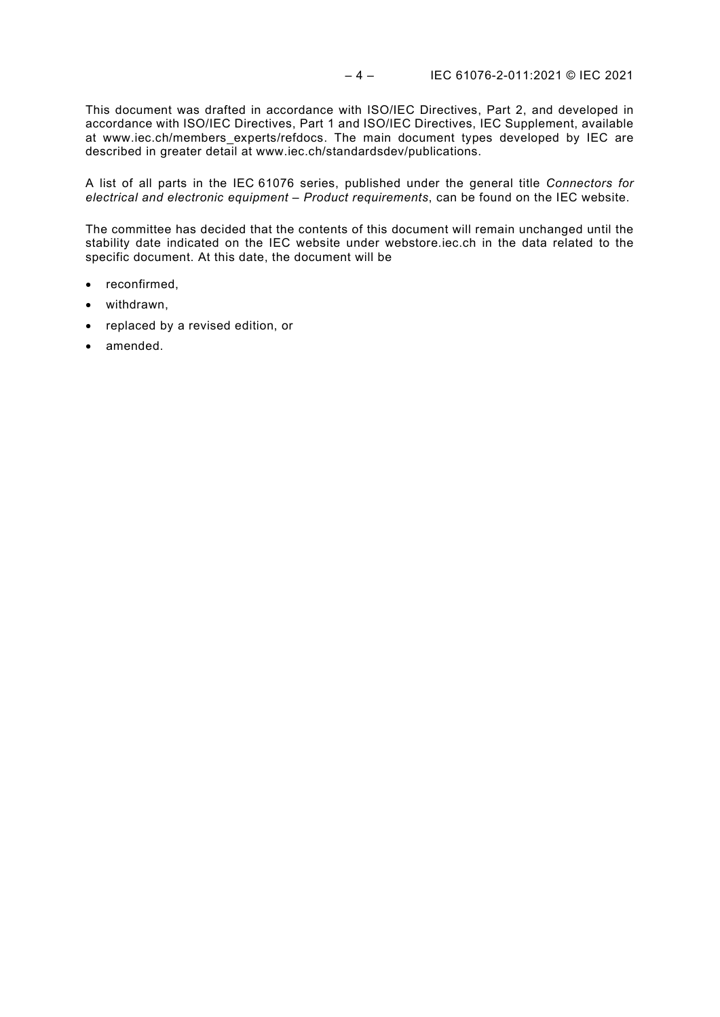This document was drafted in accordance with ISO/IEC Directives, Part 2, and developed in accordance with ISO/IEC Directives, Part 1 and ISO/IEC Directives, IEC Supplement, available at [www.iec.ch/members\\_experts/refdocs.](http://www.iec.ch/members_experts/refdocs) The main document types developed by IEC are described in greater detail at [www.iec.ch/standardsdev/publications.](http://www.iec.ch/standardsdev/publications)

A list of all parts in the IEC 61076 series, published under the general title *Connectors for electrical and electronic equipment – Product requirements*, can be found on the IEC website.

The committee has decided that the contents of this document will remain unchanged until the stability date indicated on the IEC website under [webstore.iec.ch](https://webstore.iec.ch/?ref=menu) in the data related to the specific document. At this date, the document will be

- reconfirmed,
- withdrawn,
- replaced by a revised edition, or
- amended.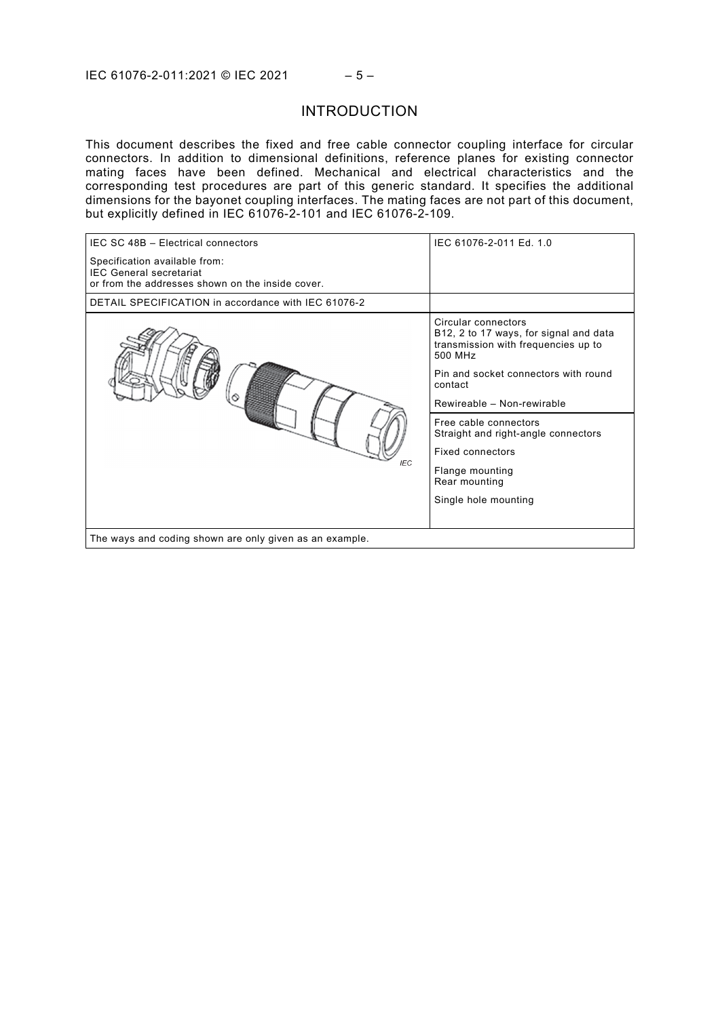#### IEC 61076-2-011:2021 © IEC 2021 - 5 -

## INTRODUCTION

<span id="page-4-0"></span>This document describes the fixed and free cable connector coupling interface for circular connectors. In addition to dimensional definitions, reference planes for existing connector mating faces have been defined. Mechanical and electrical characteristics and the corresponding test procedures are part of this generic standard. It specifies the additional dimensions for the bayonet coupling interfaces. The mating faces are not part of this document, but explicitly defined in IEC 61076-2-101 and IEC 61076-2-109.

| IEC SC 48B - Electrical connectors<br>Specification available from:<br><b>IEC General secretariat</b><br>or from the addresses shown on the inside cover. | IFC 61076-2-011 Fd 1.0                                                                                                                                                                                                                                                                                                                                  |  |  |
|-----------------------------------------------------------------------------------------------------------------------------------------------------------|---------------------------------------------------------------------------------------------------------------------------------------------------------------------------------------------------------------------------------------------------------------------------------------------------------------------------------------------------------|--|--|
| DETAIL SPECIFICATION in accordance with IEC 61076-2                                                                                                       |                                                                                                                                                                                                                                                                                                                                                         |  |  |
| <b>IEC</b>                                                                                                                                                | Circular connectors<br>B12, 2 to 17 ways, for signal and data<br>transmission with frequencies up to<br>500 MHz<br>Pin and socket connectors with round<br>contact<br>Rewireable - Non-rewirable<br>Free cable connectors<br>Straight and right-angle connectors<br><b>Fixed connectors</b><br>Flange mounting<br>Rear mounting<br>Single hole mounting |  |  |
| The ways and coding shown are only given as an example.                                                                                                   |                                                                                                                                                                                                                                                                                                                                                         |  |  |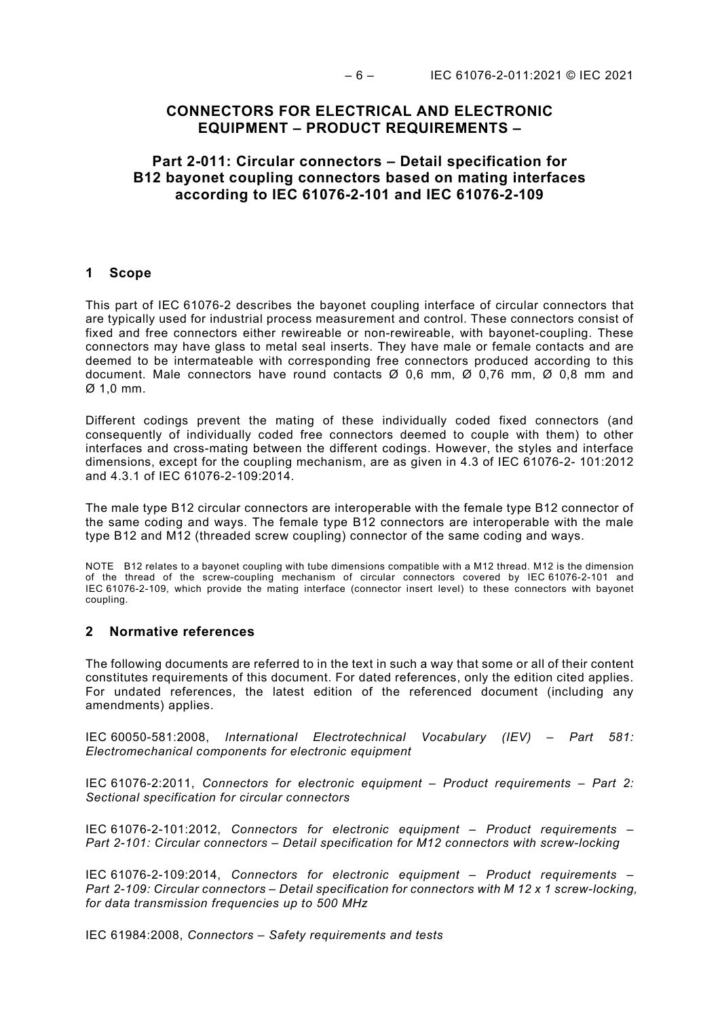## **CONNECTORS FOR ELECTRICAL AND ELECTRONIC EQUIPMENT – PRODUCT REQUIREMENTS –**

## **Part 2-011: Circular connectors – Detail specification for B12 bayonet coupling connectors based on mating interfaces according to IEC 61076-2-101 and IEC 61076-2-109**

#### <span id="page-5-0"></span>**1 Scope**

This part of IEC 61076-2 describes the bayonet coupling interface of circular connectors that are typically used for industrial process measurement and control. These connectors consist of fixed and free connectors either rewireable or non-rewireable, with bayonet-coupling. These connectors may have glass to metal seal inserts. They have male or female contacts and are deemed to be intermateable with corresponding free connectors produced according to this document. Male connectors have round contacts  $\varnothing$  0,6 mm,  $\varnothing$  0,76 mm,  $\varnothing$  0,8 mm and Ø 1,0 mm.

Different codings prevent the mating of these individually coded fixed connectors (and consequently of individually coded free connectors deemed to couple with them) to other interfaces and cross-mating between the different codings. However, the styles and interface dimensions, except for the coupling mechanism, are as given in 4.3 of IEC 61076-2- 101:2012 and 4.3.1 of IEC 61076-2-109:2014.

The male type B12 circular connectors are interoperable with the female type B12 connector of the same coding and ways. The female type B12 connectors are interoperable with the male type B12 and M12 (threaded screw coupling) connector of the same coding and ways.

NOTE B12 relates to a bayonet coupling with tube dimensions compatible with a M12 thread. M12 is the dimension of the thread of the screw-coupling mechanism of circular connectors covered by IEC 61076-2-101 and IEC 61076-2-109, which provide the mating interface (connector insert level) to these connectors with bayonet coupling.

#### <span id="page-5-1"></span>**2 Normative references**

The following documents are referred to in the text in such a way that some or all of their content constitutes requirements of this document. For dated references, only the edition cited applies. For undated references, the latest edition of the referenced document (including any amendments) applies.

IEC 60050-581:2008, *International Electrotechnical Vocabulary (IEV) – Part 581: Electromechanical components for electronic equipment*

IEC 61076-2:2011, *Connectors for electronic equipment – Product requirements – Part 2: Sectional specification for circular connectors*

IEC 61076-2-101:2012, *Connectors for electronic equipment – Product requirements – Part 2-101: Circular connectors – Detail specification for M12 connectors with screw-locking*

IEC 61076-2-109:2014, *Connectors for electronic equipment – Product requirements – Part 2-109: Circular connectors – Detail specification for connectors with M 12 x 1 screw-locking, for data transmission frequencies up to 500 MHz*

IEC 61984:2008, *Connectors – Safety requirements and tests*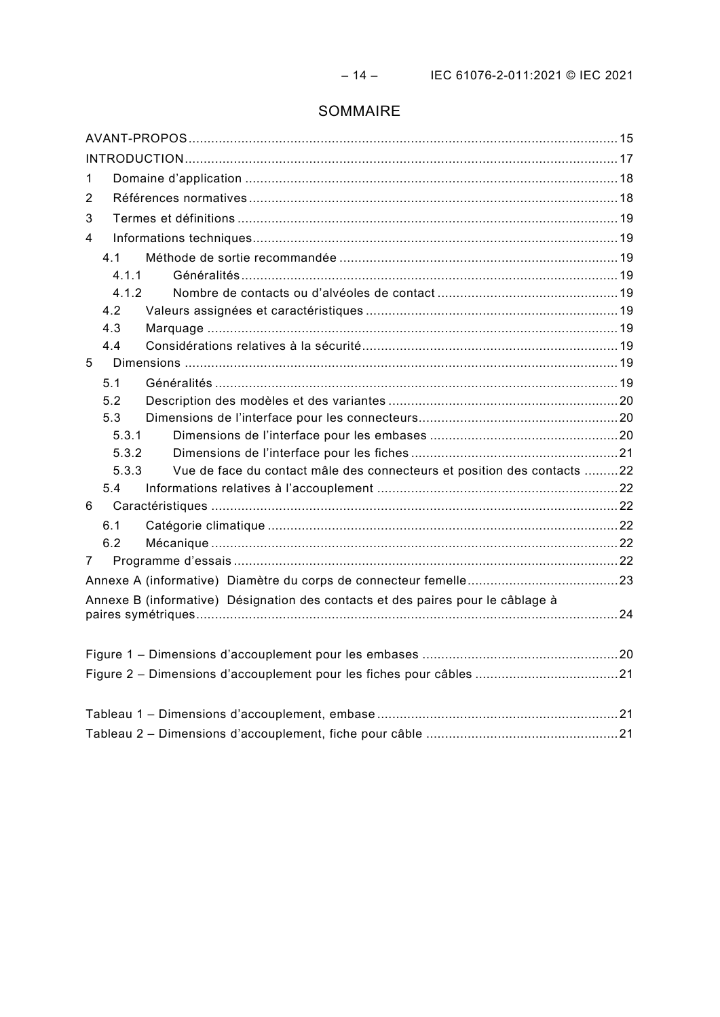# SOMMAIRE

| 1 |       |                                                                                 |  |
|---|-------|---------------------------------------------------------------------------------|--|
| 2 |       |                                                                                 |  |
| 3 |       |                                                                                 |  |
| 4 |       |                                                                                 |  |
|   | 4.1   |                                                                                 |  |
|   | 4.1.1 |                                                                                 |  |
|   | 4.1.2 |                                                                                 |  |
|   | 4.2   |                                                                                 |  |
|   | 4.3   |                                                                                 |  |
|   | 4.4   |                                                                                 |  |
| 5 |       |                                                                                 |  |
|   | 5.1   |                                                                                 |  |
|   | 5.2   |                                                                                 |  |
|   | 5.3   |                                                                                 |  |
|   | 5.3.1 |                                                                                 |  |
|   | 5.3.2 |                                                                                 |  |
|   | 5.3.3 | Vue de face du contact mâle des connecteurs et position des contacts 22         |  |
|   | 5.4   |                                                                                 |  |
| 6 |       |                                                                                 |  |
|   | 6.1   |                                                                                 |  |
|   | 6.2   |                                                                                 |  |
| 7 |       |                                                                                 |  |
|   |       |                                                                                 |  |
|   |       | Annexe B (informative) Désignation des contacts et des paires pour le câblage à |  |
|   |       |                                                                                 |  |
|   |       |                                                                                 |  |
|   |       |                                                                                 |  |
|   |       |                                                                                 |  |
|   |       |                                                                                 |  |
|   |       |                                                                                 |  |
|   |       |                                                                                 |  |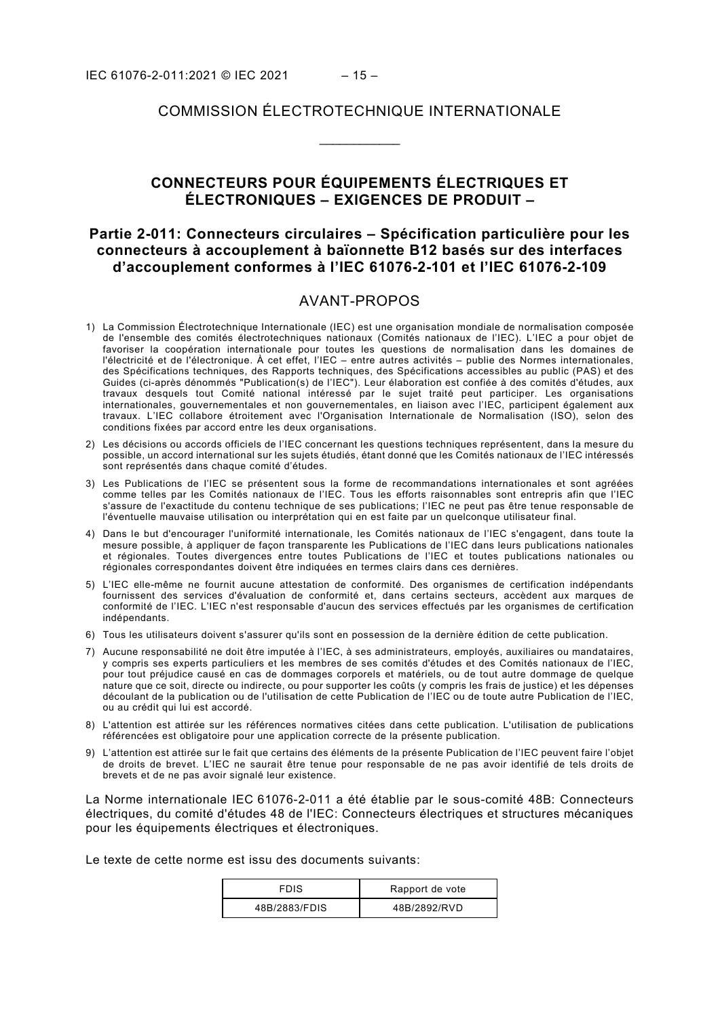## COMMISSION ÉLECTROTECHNIQUE INTERNATIONALE

\_\_\_\_\_\_\_\_\_\_\_\_

## **CONNECTEURS POUR ÉQUIPEMENTS ÉLECTRIQUES ET ÉLECTRONIQUES – EXIGENCES DE PRODUIT –**

## **Partie 2-011: Connecteurs circulaires – Spécification particulière pour les connecteurs à accouplement à baïonnette B12 basés sur des interfaces d'accouplement conformes à l'IEC 61076-2-101 et l'IEC 61076-2-109**

## AVANT-PROPOS

- <span id="page-7-0"></span>1) La Commission Électrotechnique Internationale (IEC) est une organisation mondiale de normalisation composée de l'ensemble des comités électrotechniques nationaux (Comités nationaux de l'IEC). L'IEC a pour objet de favoriser la coopération internationale pour toutes les questions de normalisation dans les domaines de l'électricité et de l'électronique. À cet effet, l'IEC – entre autres activités – publie des Normes internationales, des Spécifications techniques, des Rapports techniques, des Spécifications accessibles au public (PAS) et des Guides (ci-après dénommés "Publication(s) de l'IEC"). Leur élaboration est confiée à des comités d'études, aux travaux desquels tout Comité national intéressé par le sujet traité peut participer. Les organisations internationales, gouvernementales et non gouvernementales, en liaison avec l'IEC, participent également aux travaux. L'IEC collabore étroitement avec l'Organisation Internationale de Normalisation (ISO), selon des conditions fixées par accord entre les deux organisations.
- 2) Les décisions ou accords officiels de l'IEC concernant les questions techniques représentent, dans la mesure du possible, un accord international sur les sujets étudiés, étant donné que les Comités nationaux de l'IEC intéressés sont représentés dans chaque comité d'études.
- 3) Les Publications de l'IEC se présentent sous la forme de recommandations internationales et sont agréées comme telles par les Comités nationaux de l'IEC. Tous les efforts raisonnables sont entrepris afin que l'IEC s'assure de l'exactitude du contenu technique de ses publications; l'IEC ne peut pas être tenue responsable de l'éventuelle mauvaise utilisation ou interprétation qui en est faite par un quelconque utilisateur final.
- 4) Dans le but d'encourager l'uniformité internationale, les Comités nationaux de l'IEC s'engagent, dans toute la mesure possible, à appliquer de façon transparente les Publications de l'IEC dans leurs publications nationales et régionales. Toutes divergences entre toutes Publications de l'IEC et toutes publications nationales ou régionales correspondantes doivent être indiquées en termes clairs dans ces dernières.
- 5) L'IEC elle-même ne fournit aucune attestation de conformité. Des organismes de certification indépendants fournissent des services d'évaluation de conformité et, dans certains secteurs, accèdent aux marques de conformité de l'IEC. L'IEC n'est responsable d'aucun des services effectués par les organismes de certification indépendants.
- 6) Tous les utilisateurs doivent s'assurer qu'ils sont en possession de la dernière édition de cette publication.
- 7) Aucune responsabilité ne doit être imputée à l'IEC, à ses administrateurs, employés, auxiliaires ou mandataires, y compris ses experts particuliers et les membres de ses comités d'études et des Comités nationaux de l'IEC, pour tout préjudice causé en cas de dommages corporels et matériels, ou de tout autre dommage de quelque nature que ce soit, directe ou indirecte, ou pour supporter les coûts (y compris les frais de justice) et les dépenses découlant de la publication ou de l'utilisation de cette Publication de l'IEC ou de toute autre Publication de l'IEC, ou au crédit qui lui est accordé.
- 8) L'attention est attirée sur les références normatives citées dans cette publication. L'utilisation de publications référencées est obligatoire pour une application correcte de la présente publication.
- 9) L'attention est attirée sur le fait que certains des éléments de la présente Publication de l'IEC peuvent faire l'objet de droits de brevet. L'IEC ne saurait être tenue pour responsable de ne pas avoir identifié de tels droits de brevets et de ne pas avoir signalé leur existence.

La Norme internationale IEC 61076-2-011 a été établie par le sous-comité 48B: Connecteurs électriques, du comité d'études 48 de l'IEC: Connecteurs électriques et structures mécaniques pour les équipements électriques et électroniques.

Le texte de cette norme est issu des documents suivants:

| <b>FDIS</b>   | Rapport de vote |
|---------------|-----------------|
| 48B/2883/FDIS | 48B/2892/RVD    |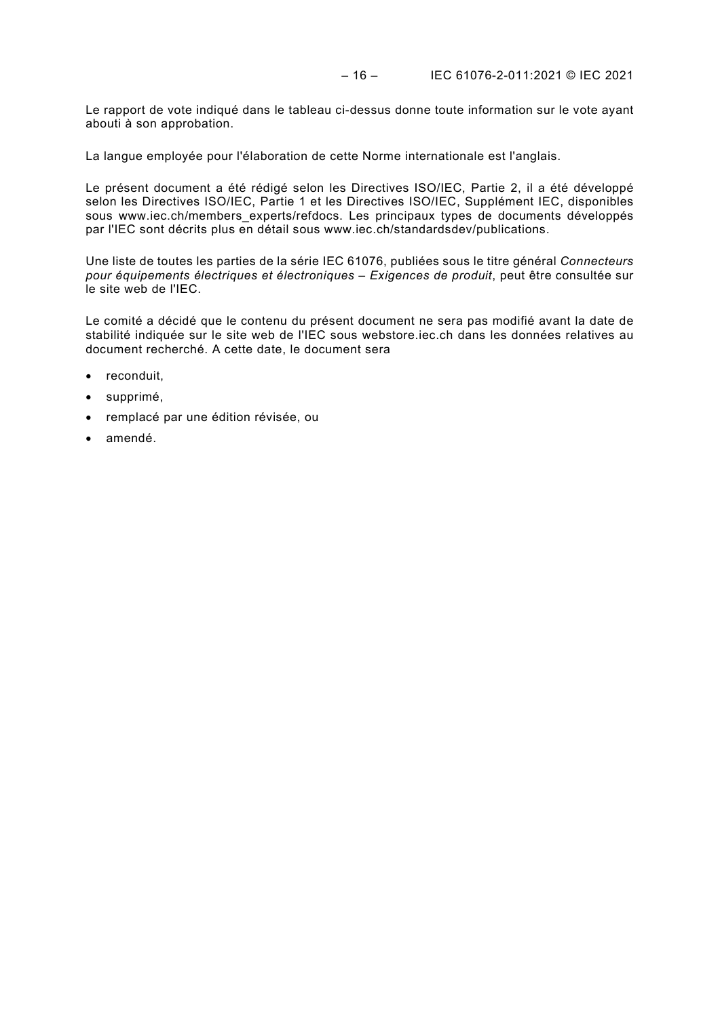Le rapport de vote indiqué dans le tableau ci-dessus donne toute information sur le vote ayant abouti à son approbation.

La langue employée pour l'élaboration de cette Norme internationale est l'anglais.

Le présent document a été rédigé selo[n les Directives ISO/IEC, Partie 2, il a](http://www.iec.ch/standardsdev/publications) été développé selon les Directives ISO/IEC, Partie 1 et les Directives ISO/IEC, Supplément IEC, disponibles sous www.iec.ch/members\_experts/refdocs. Les principaux types de documents développés par l'IEC sont décrits plus en détail sous www.iec.ch/standardsdev/publications.

Une liste de toutes les parties de la série IEC 61076, publiées sous le titre général *Connecteurs pour équipements électriques et électroniques – Exigences de produit*, peut être consultée sur le site web de l'IEC.

Le comité a décidé que le contenu du présent document ne sera pas modifié avant la date de stabilité indiquée sur le site web de l'IEC sous webstore.iec.ch dans les données relatives au document recherché. A cette date, le document sera

- reconduit,
- supprimé,
- remplacé par une édition révisée, ou
- amendé.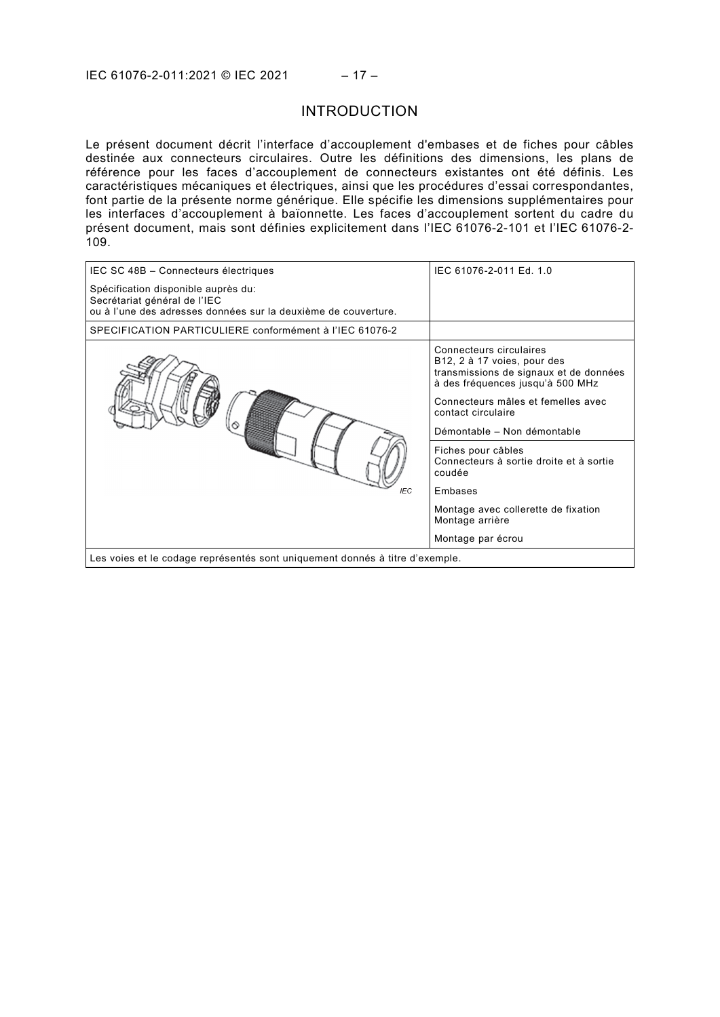#### INTRODUCTION

<span id="page-9-0"></span>Le présent document décrit l'interface d'accouplement d'embases et de fiches pour câbles destinée aux connecteurs circulaires. Outre les définitions des dimensions, les plans de référence pour les faces d'accouplement de connecteurs existantes ont été définis. Les caractéristiques mécaniques et électriques, ainsi que les procédures d'essai correspondantes, font partie de la présente norme générique. Elle spécifie les dimensions supplémentaires pour les interfaces d'accouplement à baïonnette. Les faces d'accouplement sortent du cadre du présent document, mais sont définies explicitement dans l'IEC 61076-2-101 et l'IEC 61076-2- 109.

| IEC SC 48B - Connecteurs électriques<br>Spécification disponible auprès du:<br>Secrétariat général de l'IEC<br>ou à l'une des adresses données sur la deuxième de couverture. | IEC 61076-2-011 Ed. 1.0                                                                                                                                                                                                                                                                                                                                                                                                  |  |  |
|-------------------------------------------------------------------------------------------------------------------------------------------------------------------------------|--------------------------------------------------------------------------------------------------------------------------------------------------------------------------------------------------------------------------------------------------------------------------------------------------------------------------------------------------------------------------------------------------------------------------|--|--|
| SPECIFICATION PARTICULIERE conformément à l'IEC 61076-2                                                                                                                       |                                                                                                                                                                                                                                                                                                                                                                                                                          |  |  |
| <b>IEC</b>                                                                                                                                                                    | Connecteurs circulaires<br>B <sub>12</sub> , 2 à 17 voies, pour des<br>transmissions de signaux et de données<br>à des fréquences jusqu'à 500 MHz<br>Connecteurs mâles et femelles avec<br>contact circulaire<br>Démontable - Non démontable<br>Fiches pour câbles<br>Connecteurs à sortie droite et à sortie<br>coudée<br><b>Embases</b><br>Montage avec collerette de fixation<br>Montage arrière<br>Montage par écrou |  |  |
| Les voies et le codage représentés sont uniquement donnés à titre d'exemple.                                                                                                  |                                                                                                                                                                                                                                                                                                                                                                                                                          |  |  |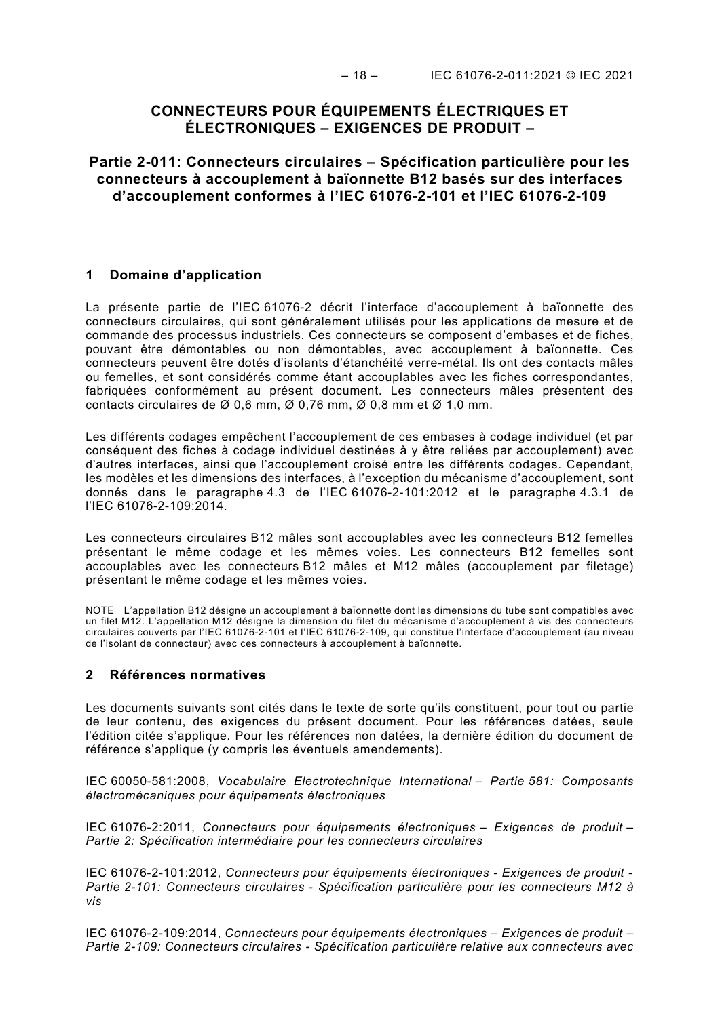## **CONNECTEURS POUR ÉQUIPEMENTS ÉLECTRIQUES ET ÉLECTRONIQUES – EXIGENCES DE PRODUIT –**

**Partie 2-011: Connecteurs circulaires – Spécification particulière pour les connecteurs à accouplement à baïonnette B12 basés sur des interfaces d'accouplement conformes à l'IEC 61076-2-101 et l'IEC 61076-2-109**

#### <span id="page-10-0"></span>**1 Domaine d'application**

La présente partie de l'IEC 61076-2 décrit l'interface d'accouplement à baïonnette des connecteurs circulaires, qui sont généralement utilisés pour les applications de mesure et de commande des processus industriels. Ces connecteurs se composent d'embases et de fiches, pouvant être démontables ou non démontables, avec accouplement à baïonnette. Ces connecteurs peuvent être dotés d'isolants d'étanchéité verre-métal. Ils ont des contacts mâles ou femelles, et sont considérés comme étant accouplables avec les fiches correspondantes, fabriquées conformément au présent document. Les connecteurs mâles présentent des contacts circulaires de Ø 0,6 mm, Ø 0,76 mm, Ø 0,8 mm et Ø 1,0 mm.

Les différents codages empêchent l'accouplement de ces embases à codage individuel (et par conséquent des fiches à codage individuel destinées à y être reliées par accouplement) avec d'autres interfaces, ainsi que l'accouplement croisé entre les différents codages. Cependant, les modèles et les dimensions des interfaces, à l'exception du mécanisme d'accouplement, sont donnés dans le paragraphe 4.3 de l'IEC 61076-2-101:2012 et le paragraphe 4.3.1 de l'IEC 61076-2-109:2014.

Les connecteurs circulaires B12 mâles sont accouplables avec les connecteurs B12 femelles présentant le même codage et les mêmes voies. Les connecteurs B12 femelles sont accouplables avec les connecteurs B12 mâles et M12 mâles (accouplement par filetage) présentant le même codage et les mêmes voies.

NOTE L'appellation B12 désigne un accouplement à baïonnette dont les dimensions du tube sont compatibles avec un filet M12. L'appellation M12 désigne la dimension du filet du mécanisme d'accouplement à vis des connecteurs circulaires couverts par l'IEC 61076-2-101 et l'IEC 61076-2-109, qui constitue l'interface d'accouplement (au niveau de l'isolant de connecteur) avec ces connecteurs à accouplement à baïonnette.

## <span id="page-10-1"></span>**2 Références normatives**

Les documents suivants sont cités dans le texte de sorte qu'ils constituent, pour tout ou partie de leur contenu, des exigences du présent document. Pour les références datées, seule l'édition citée s'applique. Pour les références non datées, la dernière édition du document de référence s'applique (y compris les éventuels amendements).

IEC 60050-581:2008, *Vocabulaire Electrotechnique International – Partie 581: Composants électromécaniques pour équipements électroniques*

IEC 61076-2:2011, *Connecteurs pour équipements électroniques – Exigences de produit – Partie 2: Spécification intermédiaire pour les connecteurs circulaires*

IEC 61076-2-101:2012, *Connecteurs pour équipements électroniques - Exigences de produit - Partie 2-101: Connecteurs circulaires - Spécification particulière pour les connecteurs M12 à vis*

IEC 61076-2-109:2014, *Connecteurs pour équipements électroniques – Exigences de produit – Partie 2-109: Connecteurs circulaires - Spécification particulière relative aux connecteurs avec*